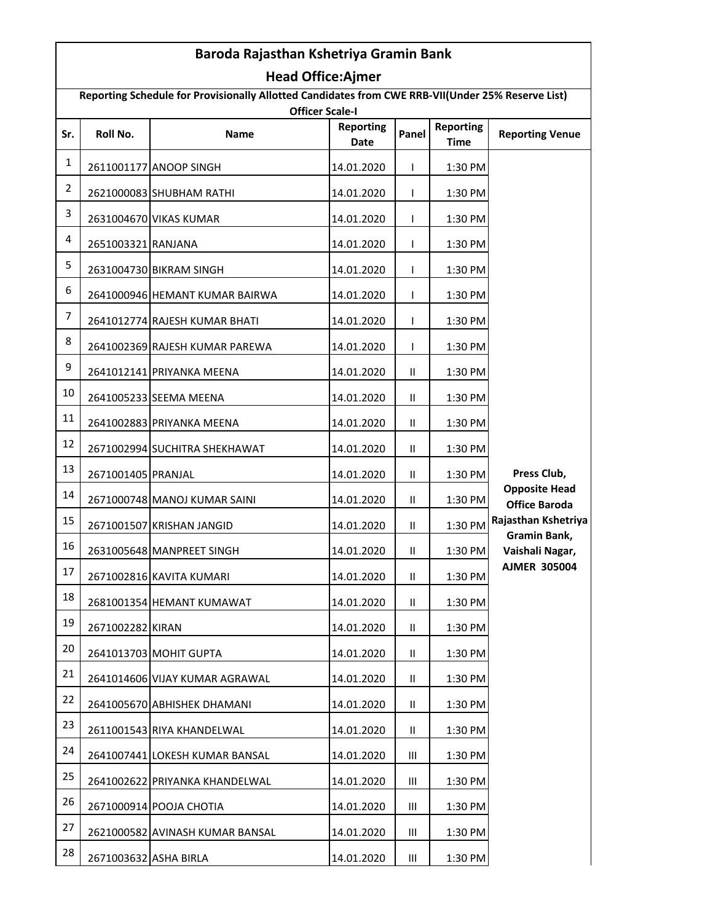| Baroda Rajasthan Kshetriya Gramin Bank                                                                                      |                       |                                 |                          |                    |                                 |                                                                                                                                                     |  |  |  |  |
|-----------------------------------------------------------------------------------------------------------------------------|-----------------------|---------------------------------|--------------------------|--------------------|---------------------------------|-----------------------------------------------------------------------------------------------------------------------------------------------------|--|--|--|--|
| <b>Head Office:Ajmer</b>                                                                                                    |                       |                                 |                          |                    |                                 |                                                                                                                                                     |  |  |  |  |
| Reporting Schedule for Provisionally Allotted Candidates from CWE RRB-VII(Under 25% Reserve List)<br><b>Officer Scale-I</b> |                       |                                 |                          |                    |                                 |                                                                                                                                                     |  |  |  |  |
| Sr.                                                                                                                         | Roll No.              | <b>Name</b>                     | <b>Reporting</b><br>Date | Panel              | <b>Reporting</b><br><b>Time</b> | <b>Reporting Venue</b>                                                                                                                              |  |  |  |  |
| $\mathbf{1}$                                                                                                                |                       | 2611001177 ANOOP SINGH          | 14.01.2020               | L                  | 1:30 PM                         |                                                                                                                                                     |  |  |  |  |
| $\overline{2}$                                                                                                              |                       | 2621000083 SHUBHAM RATHI        | 14.01.2020               | L                  | 1:30 PM                         |                                                                                                                                                     |  |  |  |  |
| 3                                                                                                                           |                       | 2631004670 VIKAS KUMAR          | 14.01.2020               | T                  | 1:30 PM                         | Press Club,<br><b>Opposite Head</b><br><b>Office Baroda</b><br>Rajasthan Kshetriya<br><b>Gramin Bank,</b><br>Vaishali Nagar,<br><b>AJMER 305004</b> |  |  |  |  |
| 4                                                                                                                           | 2651003321 RANJANA    |                                 | 14.01.2020               | T                  | 1:30 PM                         |                                                                                                                                                     |  |  |  |  |
| 5                                                                                                                           |                       | 2631004730 BIKRAM SINGH         | 14.01.2020               | T                  | 1:30 PM                         |                                                                                                                                                     |  |  |  |  |
| 6                                                                                                                           |                       | 2641000946 HEMANT KUMAR BAIRWA  | 14.01.2020               | T                  | 1:30 PM                         |                                                                                                                                                     |  |  |  |  |
| 7                                                                                                                           |                       | 2641012774 RAJESH KUMAR BHATI   | 14.01.2020               | L                  | 1:30 PM                         |                                                                                                                                                     |  |  |  |  |
| 8                                                                                                                           |                       | 2641002369 RAJESH KUMAR PAREWA  | 14.01.2020               | T                  | 1:30 PM                         |                                                                                                                                                     |  |  |  |  |
| 9                                                                                                                           |                       | 2641012141 PRIYANKA MEENA       | 14.01.2020               | Ш                  | 1:30 PM                         |                                                                                                                                                     |  |  |  |  |
| 10                                                                                                                          |                       | 2641005233 SEEMA MEENA          | 14.01.2020               | $\mathsf{I}$       | 1:30 PM                         |                                                                                                                                                     |  |  |  |  |
| 11                                                                                                                          |                       | 2641002883 PRIYANKA MEENA       | 14.01.2020               | Ш                  | 1:30 PM                         |                                                                                                                                                     |  |  |  |  |
| 12                                                                                                                          |                       | 2671002994 SUCHITRA SHEKHAWAT   | 14.01.2020               | $\mathsf{I}$       | 1:30 PM                         |                                                                                                                                                     |  |  |  |  |
| 13                                                                                                                          | 2671001405 PRANJAL    |                                 | 14.01.2020               | Ш                  | 1:30 PM                         |                                                                                                                                                     |  |  |  |  |
| 14                                                                                                                          |                       | 2671000748 MANOJ KUMAR SAINI    | 14.01.2020               | Ш                  | 1:30 PM                         |                                                                                                                                                     |  |  |  |  |
| 15                                                                                                                          |                       | 2671001507 KRISHAN JANGID       | 14.01.2020               | Ш                  | 1:30 PM                         |                                                                                                                                                     |  |  |  |  |
| 16                                                                                                                          |                       | 2631005648 MANPREET SINGH       | 14.01.2020               | Ш                  | 1:30 PM                         |                                                                                                                                                     |  |  |  |  |
| 17                                                                                                                          |                       | 2671002816 KAVITA KUMARI        | 14.01.2020               | Ш                  | 1:30 PM                         |                                                                                                                                                     |  |  |  |  |
| 18                                                                                                                          |                       | 2681001354 HEMANT KUMAWAT       | 14.01.2020               | Ш                  | 1:30 PM                         |                                                                                                                                                     |  |  |  |  |
| 19                                                                                                                          | 2671002282 KIRAN      |                                 | 14.01.2020               | Ш                  | 1:30 PM                         |                                                                                                                                                     |  |  |  |  |
| 20                                                                                                                          |                       | 2641013703 MOHIT GUPTA          | 14.01.2020               | Ш                  | 1:30 PM                         |                                                                                                                                                     |  |  |  |  |
| 21                                                                                                                          |                       | 2641014606 VIJAY KUMAR AGRAWAL  | 14.01.2020               | Ш                  | 1:30 PM                         |                                                                                                                                                     |  |  |  |  |
| 22                                                                                                                          |                       | 2641005670 ABHISHEK DHAMANI     | 14.01.2020               | Ш                  | 1:30 PM                         |                                                                                                                                                     |  |  |  |  |
| 23                                                                                                                          |                       | 2611001543 RIYA KHANDELWAL      | 14.01.2020               | Ш                  | 1:30 PM                         |                                                                                                                                                     |  |  |  |  |
| 24                                                                                                                          |                       | 2641007441 LOKESH KUMAR BANSAL  | 14.01.2020               | Ш                  | 1:30 PM                         |                                                                                                                                                     |  |  |  |  |
| 25                                                                                                                          |                       | 2641002622 PRIYANKA KHANDELWAL  | 14.01.2020               | Ш                  | 1:30 PM                         |                                                                                                                                                     |  |  |  |  |
| 26                                                                                                                          |                       | 2671000914 POOJA CHOTIA         | 14.01.2020               | Ш                  | 1:30 PM                         |                                                                                                                                                     |  |  |  |  |
| 27                                                                                                                          |                       | 2621000582 AVINASH KUMAR BANSAL | 14.01.2020               | Ш                  | 1:30 PM                         |                                                                                                                                                     |  |  |  |  |
| 28                                                                                                                          | 2671003632 ASHA BIRLA |                                 | 14.01.2020               | $\mathop{\rm III}$ | 1:30 PM                         |                                                                                                                                                     |  |  |  |  |